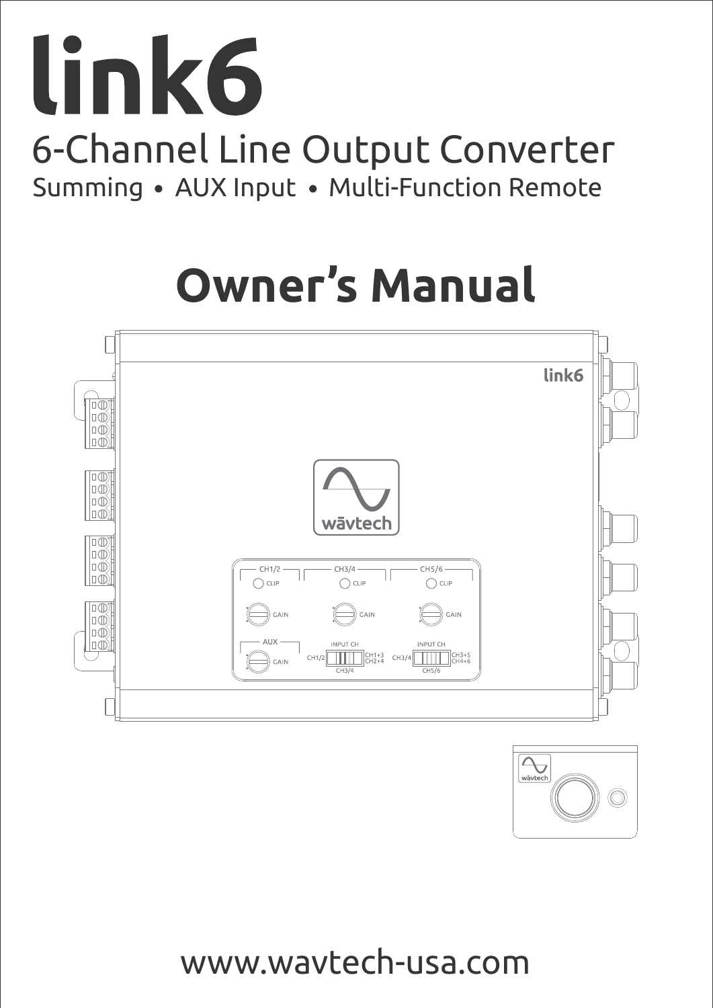# link6 6-Channel Line Output Converter Summing • AUX Input • Multi-Function Remote

# **Owner's Manual**





www.wavtech-usa.com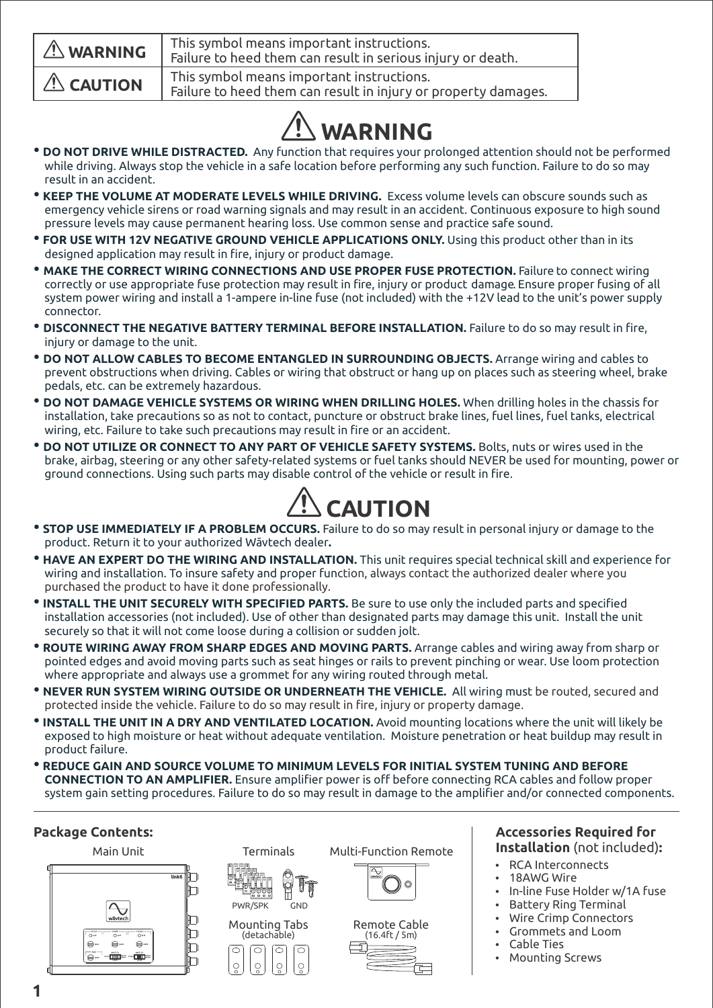| $\triangle$ WARNING | This symbol means important instructions.<br>Failure to heed them can result in serious injury or death.    |
|---------------------|-------------------------------------------------------------------------------------------------------------|
| $\triangle$ CAUTION | This symbol means important instructions.<br>Failure to heed them can result in injury or property damages. |

## **WARNING**

- **DO NOT DRIVE WHILE DISTRACTED.** Any function that requires your prolonged attention should not be performed while driving. Always stop the vehicle in a safe location before performing any such function. Failure to do so may result in an accident.
- • **KEEP THE VOLUME AT MODERATE LEVELS WHILE DRIVING.** Excess volume levels can obscure sounds such as emergency vehicle sirens or road warning signals and may result in an accident. Continuous exposure to high sound pressure levels may cause permanent hearing loss. Use common sense and practice safe sound.
- • **FOR USE WITH 12V NEGATIVE GROUND VEHICLE APPLICATIONS ONLY.** Using this product other than in its designed application may result in fire, injury or product damage.
- **MAKE THE CORRECT WIRING CONNECTIONS AND USE PROPER FUSE PROTECTION.** Failure to connect wiring correctly or use appropriate fuse protection may result in fire, injury or product damage . Ensure proper fusing of all system power wiring and install a 1-ampere in-line fuse (not included) with the +12V lead to the unit's power supply connector.
- **DISCONNECT THE NEGATIVE BATTERY TERMINAL BEFORE INSTALLATION.** Failure to do so may result in fire, injury or damage to the unit.
- **DO NOT ALLOW CABLES TO BECOME ENTANGLED IN SURROUNDING OBJECTS.** Arrange wiring and cables to prevent obstructions when driving. Cables or wiring that obstruct or hang up on places such as steering wheel, brake pedals, etc. can be extremely hazardous.
- **DO NOT DAMAGE VEHICLE SYSTEMS OR WIRING WHEN DRILLING HOLES.** When drilling holes in the chassis for installation, take precautions so as not to contact, puncture or obstruct brake lines, fuel lines, fuel tanks, electrical wiring, etc. Failure to take such precautions may result in fire or an accident.
- **DO NOT UTILIZE OR CONNECT TO ANY PART OF VEHICLE SAFETY SYSTEMS.** Bolts, nuts or wires used in the brake, airbag, steering or any other safety-related systems or fuel tanks should NEVER be used for mounting, power or ground connections. Using such parts may disable control of the vehicle or result in fire.



- **STOP USE IMMEDIATELY IF A PROBLEM OCCURS.** Failure to do so may result in personal injury or damage to the product. Return it to your authorized Wāvtech dealer**.**
- • **HAVE AN EXPERT DO THE WIRING AND INSTALLATION.** This unit requires special technical skill and experience for wiring and installation. To insure safety and proper function, always contact the authorized dealer where you purchased the product to have it done professionally.
- **INSTALL THE UNIT SECURELY WITH SPECIFIED PARTS.** Be sure to use only the included parts and specified installation accessories (not included). Use of other than designated parts may damage this unit. Install the unit securely so that it will not come loose during a collision or sudden jolt.
- **ROUTE WIRING AWAY FROM SHARP EDGES AND MOVING PARTS.** Arrange cables and wiring away from sharp or pointed edges and avoid moving parts such as seat hinges or rails to prevent pinching or wear. Use loom protection where appropriate and always use a grommet for any wiring routed through metal.
- • **NEVER RUN SYSTEM WIRING OUTSIDE OR UNDERNEATH THE VEHICLE.** All wiring must be routed, secured and protected inside the vehicle. Failure to do so may result in fire, injury or property damage.
- •**INSTALL THE UNIT IN A DRY AND VENTILATED LOCATION.** Avoid mounting locations where the unit will likely be exposed to high moisture or heat without adequate ventilation. Moisture penetration or heat buildup may result in product failure.
- **REDUCE GAIN AND SOURCE VOLUME TO MINIMUM LEVELS FOR INITIAL SYSTEM TUNING AND BEFORE CONNECTION TO AN AMPLIFIER.** Ensure amplifier power is off before connecting RCA cables and follow proper system gain setting procedures. Failure to do so may result in damage to the amplifier and/or connected components.

## **Package Contents:**





Mounting Tabs (detachable)

ਠ ெ ा नि





#### **Accessories Required for Installation** (not included)**:**

- **RCA Interconnects**
- 18AWG Wire
- In-line Fuse Holder w/1A fuse
- **Battery Ring Terminal**
- Wire Crimp Connectors
- Grommets and Loom
- Cable Ties
- **Mounting Screws**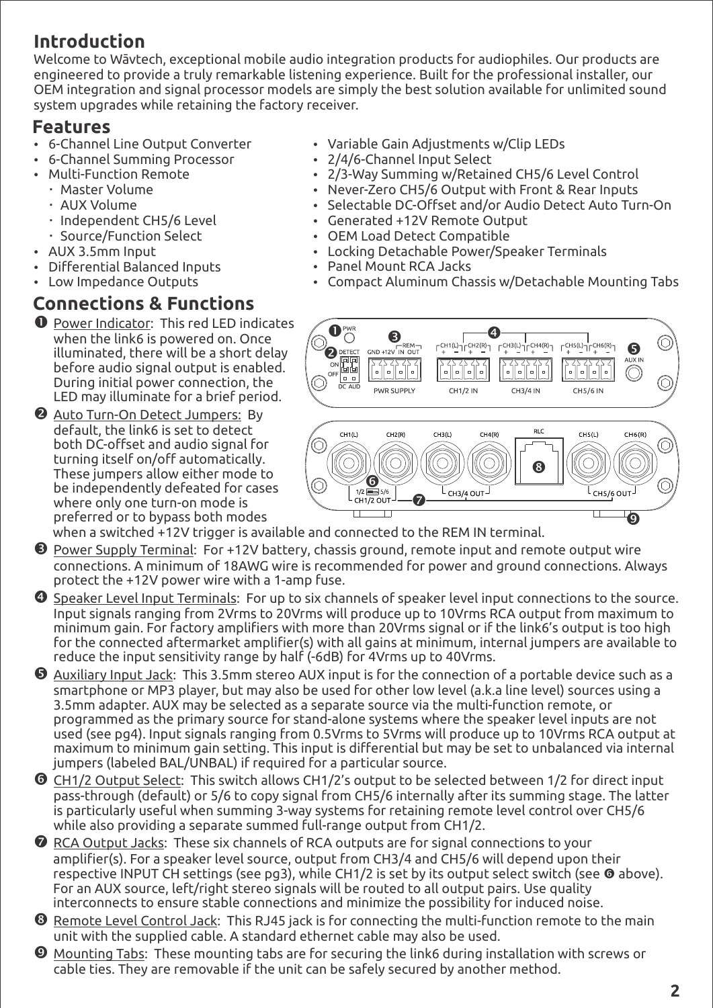## **Introduction**

Welcome to Wāvtech, exceptional mobile audio integration products for audiophiles. Our products are engineered to provide a truly remarkable listening experience. Built for the professional installer, our OEM integration and signal processor models are simply the best solution available for unlimited sound system upgrades while retaining the factory receiver.

## **Features**

- 6-Channel Line Output Converter
- 6-Channel Summing Processor
- Multi-Function Remote Master Volume
	- AUX Volume
	- · Independent CH5/6 Level
	- Source/Function Select
- AUX 3.5mm Input
- Differential Balanced Inputs
- Low Impedance Outputs

## **Connections & Functions**

- **O** Power Indicator: This red LED indicates when the link6 is powered on. Once illuminated, there will be a short delay before audio signal output is enabled. During initial power connection, the LED may illuminate for a brief period.
- **2** Auto Turn-On Detect Jumpers: By default, the link6 is set to detect both DC-offset and audio signal for turning itself on/off automatically. These jumpers allow either mode to be independently defeated for cases where only one turn-on mode is preferred or to bypass both modes
- Variable Gain Adjustments w/Clip LEDs
- 2/4/6-Channel Input Select
- 2/3-Way Summing w/Retained CH5/6 Level Control
- Never-Zero CH5/6 Output with Front & Rear Inputs
- Selectable DC-Offset and/or Audio Detect Auto Turn-On
- Generated +12V Remote Output
- OEM Load Detect Compatible
	- Locking Detachable Power/Speaker Terminals
- Panel Mount RCA Jacks
- Compact Aluminum Chassis w/Detachable Mounting Tabs



when a switched +12V trigger is available and connected to the REM IN terminal.

- Ž Power Supply Terminal:For +12V battery, chassis ground, remote input and remote output wire connections. A minimum of 18AWG wire is recommended for power and ground connections. Always protect the +12V power wire with a 1-amp fuse.
- Speaker Level Input Terminals: For up to six channels of speaker level input connections to the source. Input signals ranging from 2Vrms to 20Vrms will produce up to 10Vrms RCA output from maximum to minimum gain. For factory amplifiers with more than 20Vrms signal or if the link6's output is too high for the connected aftermarket amplifier(s) with all gains at minimum, internal jumpers are available to reduce the input sensitivity range by half (-6dB) for 4Vrms up to 40Vrms.
- Auxiliary Input Jack: This 3.5mm stereo AUX input is for the connection of a portable device such as a smartphone or MP3 player, but may also be used for other low level (a.k.a line level) sources using a 3.5mm adapter. AUX may be selected as a separate source via the multi-function remote, or programmed as the primary source for stand-alone systems where the speaker level inputs are not used (see pg4). Input signals ranging from 0.5Vrms to 5Vrms will produce up to 10Vrms RCA output at maximum to minimum gain setting. This input is differential but may be set to unbalanced via internal jumpers (labeled BAL/UNBAL) if required for a particular source.
- ' CH1/2 Output Select: This switch allows CH1/2's output to be selected between 1/2 for direct input pass-through (default) or 5/6 to copy signal from CH5/6 internally after its summing stage. The latter is particularly useful when summing 3-way systems for retaining remote level control over CH5/6 while also providing a separate summed full-range output from CH1/2.
- $\Omega$  RCA Output Jacks: These six channels of RCA outputs are for signal connections to your amplifier(s). For a speaker level source, output from CH3/4 and CH5/6 will depend upon their respective INPUT CH settings (see pg3), while CH1/2 is set by its output select switch (see @ above). For an AUX source, left/right stereo signals will be routed to all output pairs. Use quality interconnects to ensure stable connections and minimize the possibility for induced noise.
- **<sup>6</sup>** Remote Level Control Jack: This RJ45 jack is for connecting the multi-function remote to the main unit with the supplied cable. A standard ethernet cable may also be used.
- " Mounting Tabs: These mounting tabs are for securing the link6 during installation with screws or cable ties. They are removable if the unit can be safely secured by another method.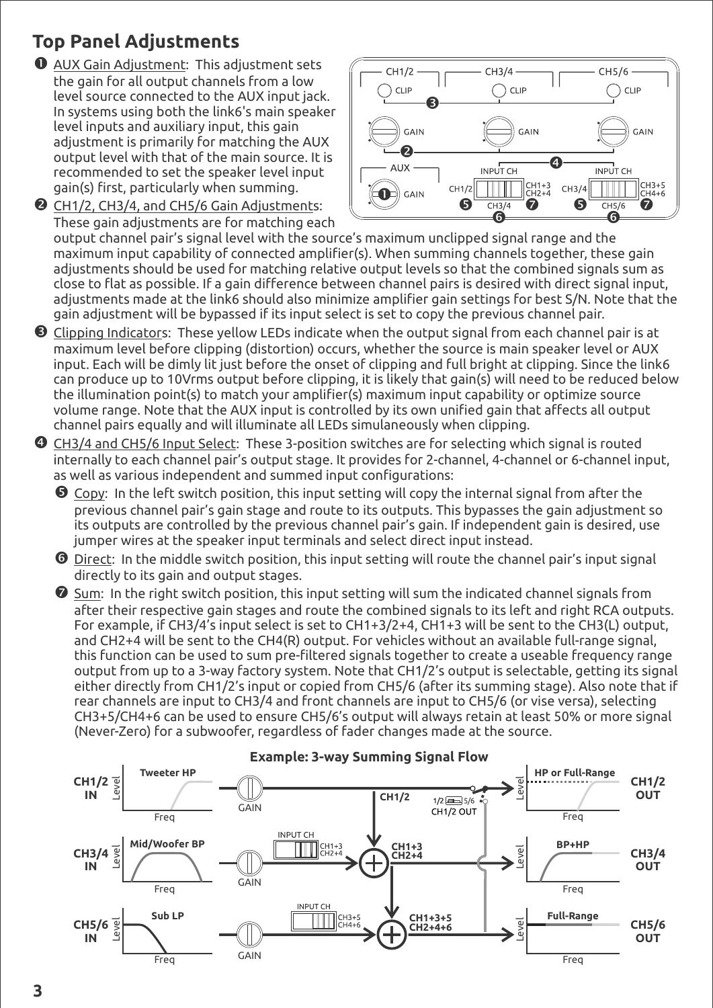## **Top Panel Adjustments**

Œ AUX Gain Adjustment: This adjustment sets the gain for all output channels from a low level source connected to the AUX input jack. In systems using both the link6's main speaker level inputs and auxiliary input, this gain adjustment is primarily for matching the AUX output level with that of the main source. It is recommended to set the speaker level input gain(s) first, particularly when summing. CH1/2, CH3/4, and CH5/6 Gain Adjustments:



These gain adjustments are for matching each output channel pair's signal level with the source's maximum unclipped signal range and the maximum input capability of connected amplifier(s). When summing channels together, these gain adjustments should be used for matching relative output levels so that the combined signals sum as close to flat as possible. If a gain difference between channel pairs is desired with direct signal input, adjustments made at the link6 should also minimize amplifier gain settings for best S/N. Note that the gain adjustment will be bypassed if its input select is set to copy the previous channel pair.

- Ž Clipping Indicators: These yellow LEDs indicate when the output signal from each channel pair is at maximum level before clipping (distortion) occurs, whether the source is main speaker level or AUX input. Each will be dimly lit just before the onset of clipping and full bright at clipping. Since the link6 can produce up to 10Vrms output before clipping, it is likely that gain(s) will need to be reduced below the illumination point(s) to match your amplifier(s) maximum input capability or optimize source volume range. Note that the AUX input is controlled by its own unified gain that affects all output channel pairs equally and will illuminate all LEDs simulaneously when clipping.
- CH3/4 and CH5/6 Input Select: These 3-position switches are for selecting which signal is routed internally to each channel pair's output stage. It provides for 2-channel, 4-channel or 6-channel input, as well as various independent and summed input configurations:
	- **G** Copy: In the left switch position, this input setting will copy the internal signal from after the previous channel pair's gain stage and route to its outputs. This bypasses the gain adjustment so its outputs are controlled by the previous channel pair's gain. If independent gain is desired, use jumper wires at the speaker input terminals and select direct input instead.
	- ' Direct: In the middle switch position, this input setting will route the channel pair's input signal directly to its gain and output stages.

 $\bullet$  Sum: In the right switch position, this input setting will sum the indicated channel signals from after their respective gain stages and route the combined signals to its left and right RCA outputs. For example, if CH3/4's input select is set to CH1+3/2+4, CH1+3 will be sent to the CH3(L) output, and CH2+4 will be sent to the CH4(R) output. For vehicles without an available full-range signal, this function can be used to sum pre-filtered signals together to create a useable frequency range output from up to a 3-way factory system. Note that CH1/2's output is selectable, getting its signal either directly from CH1/2's input or copied from CH5/6 (after its summing stage). Also note that if rear channels are input to CH3/4 and front channels are input to CH5/6 (or vise versa), selecting CH3+5/CH4+6 can be used to ensure CH5/6's output will always retain at least 50% or more signal (Never-Zero) for a subwoofer, regardless of fader changes made at the source.

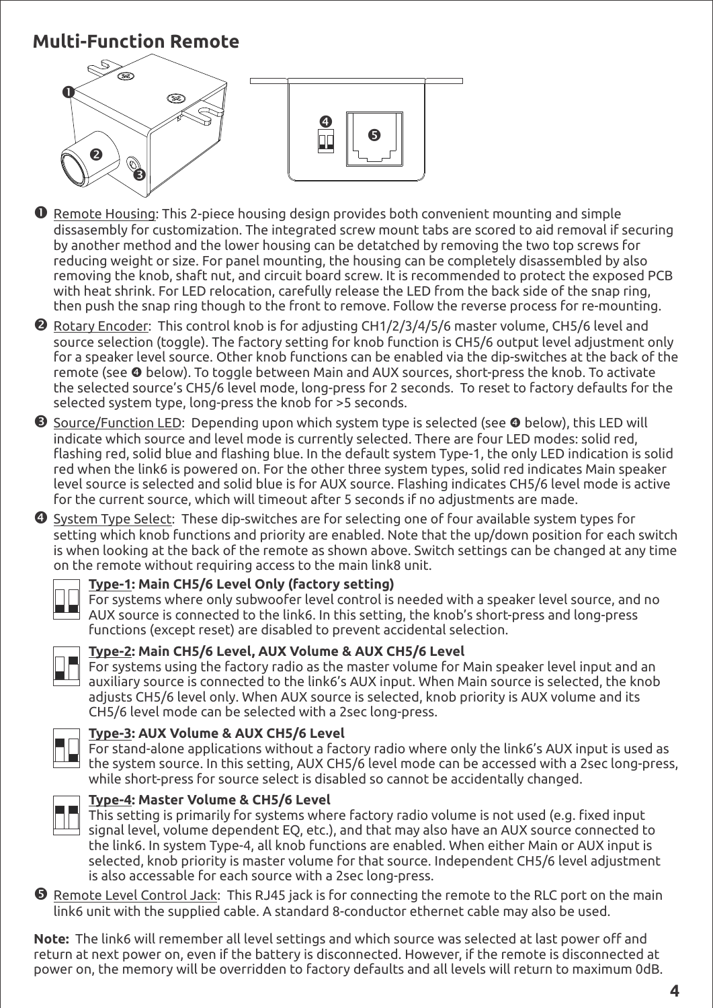## **Multi-Function Remote**



- **O** Remote Housing: This 2-piece housing design provides both convenient mounting and simple dissasembly for customization. The integrated screw mount tabs are scored to aid removal if securing by another method and the lower housing can be detatched by removing the two top screws for reducing weight or size. For panel mounting, the housing can be completely disassembled by also removing the knob, shaft nut, and circuit board screw. It is recommended to protect the exposed PCB with heat shrink. For LED relocation, carefully release the LED from the back side of the snap ring, then push the snap ring though to the front to remove. Follow the reverse process for re-mounting.
- Rotary Encoder: This control knob is for adjusting CH1/2/3/4/5/6 master volume, CH5/6 level and source selection (toggle). The factory setting for knob function is CH5/6 output level adjustment only for a speaker level source. Other knob functions can be enabled via the dip-switches at the back of the remote (see  $\bullet$  below). To toggle between Main and AUX sources, short-press the knob. To activate the selected source's CH5/6 level mode, long-press for 2 seconds. To reset to factory defaults for the selected system type, long-press the knob for >5 seconds.
- $\Theta$  Source/Function LED: Depending upon which system type is selected (see  $\Theta$  below), this LED will indicate which source and level mode is currently selected. There are four LED modes: solid red, flashing red, solid blue and flashing blue. In the default system Type-1, the only LED indication is solid red when the link6 is powered on. For the other three system types, solid red indicates Main speaker level source is selected and solid blue is for AUX source. Flashing indicates CH5/6 level mode is active for the current source, which will timeout after 5 seconds if no adjustments are made.
- System Type Select:These dip-switches are for selecting one of four available system types for setting which knob functions and priority are enabled. Note that the up/down position for each switch is when looking at the back of the remote as shown above. Switch settings can be changed at any time on the remote without requiring access to the main link8 unit.



### **Type-1: Main CH5/6 Level Only (factory setting)**

For systems where only subwoofer level control is needed with a speaker level source, and no AUX source is connected to the link6. In this setting, the knob's short-press and long-press functions (except reset) are disabled to prevent accidental selection.



### **Type-2: Main CH5/6 Level, AUX Volume & AUX CH5/6 Level**

For systems using the factory radio as the master volume for Main speaker level input and an auxiliary source is connected to the link6's AUX input. When Main source is selected, the knob adjusts CH5/6 level only. When AUX source is selected, knob priority is AUX volume and its CH5/6 level mode can be selected with a 2sec long-press.



### **Type-3: AUX Volume & AUX CH5/6 Level**

For stand-alone applications without a factory radio where only the link6's AUX input is used as the system source. In this setting, AUX CH5/6 level mode can be accessed with a 2sec long-press, while short-press for source select is disabled so cannot be accidentally changed.



### **Type-4: Master Volume & CH5/6 Level**

This setting is primarily for systems where factory radio volume is not used (e.g. fixed input signal level, volume dependent EQ, etc.), and that may also have an AUX source connected to the link6. In system Type-4, all knob functions are enabled. When either Main or AUX input is selected, knob priority is master volume for that source. Independent CH5/6 level adjustment is also accessable for each source with a 2sec long-press.

 Remote Level Control Jack: This RJ45 jack is for connecting the remote to the RLC port on the main link6 unit with the supplied cable. A standard 8-conductor ethernet cable may also be used.

**Note:** The link6 will remember all level settings and which source was selected at last power off and return at next power on, even if the battery is disconnected. However, if the remote is disconnected at power on, the memory will be overridden to factory defaults and all levels will return to maximum 0dB.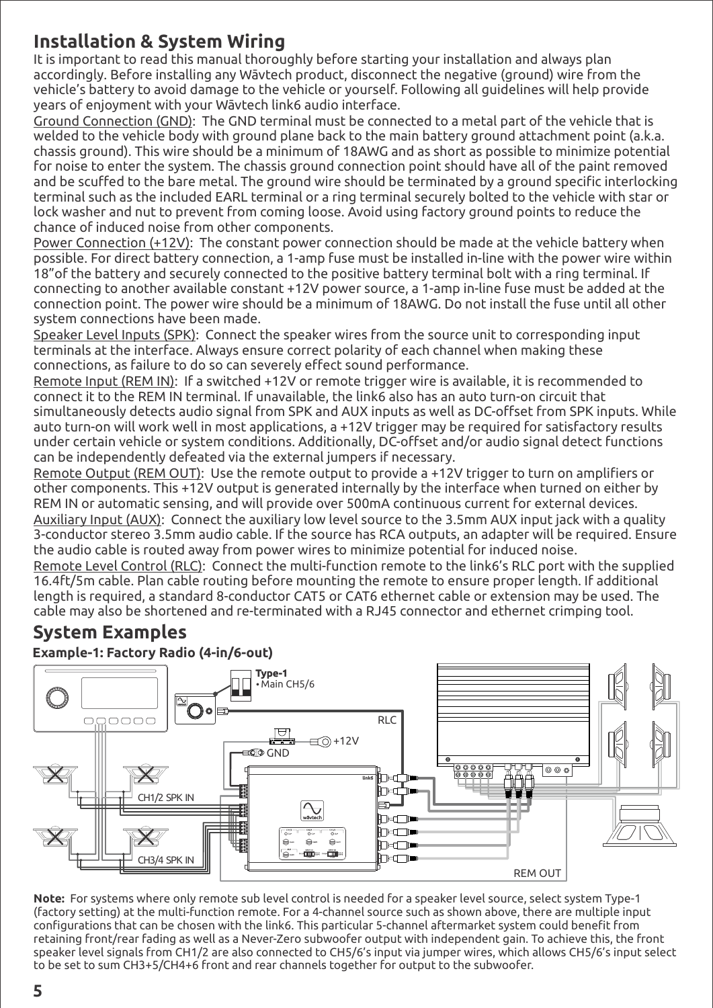## **Installation & System Wiring**

It is important to read this manual thoroughly before starting your installation and always plan accordingly. Before installing any Wāvtech product, disconnect the negative (ground) wire from the vehicle's battery to avoid damage to the vehicle or yourself. Following all guidelines will help provide years of enjoyment with your Wāvtech link6 audio interface.

Ground Connection (GND): The GND terminal must be connected to a metal part of the vehicle that is welded to the vehicle body with ground plane back to the main battery ground attachment point (a.k.a. chassis ground). This wire should be a minimum of 18AWG and as short as possible to minimize potential for noise to enter the system. The chassis ground connection point should have all of the paint removed and be scuffed to the bare metal. The ground wire should be terminated by a ground specific interlocking terminal such as the included EARL terminal or a ring terminal securely bolted to the vehicle with star or lock washer and nut to prevent from coming loose. Avoid using factory ground points to reduce the chance of induced noise from other components.

Power Connection (+12V): The constant power connection should be made at the vehicle battery when possible. For direct battery connection, a 1-amp fuse must be installed in-line with the power wire within 18"of the battery and securely connected to the positive battery terminal bolt with a ring terminal. If connecting to another available constant +12V power source, a 1-amp in-line fuse must be added at the connection point. The power wire should be a minimum of 18AWG. Do not install the fuse until all other system connections have been made.

Speaker Level Inputs (SPK): Connect the speaker wires from the source unit to corresponding input terminals at the interface. Always ensure correct polarity of each channel when making these connections, as failure to do so can severely effect sound performance.

Remote Input (REM IN): If a switched +12V or remote trigger wire is available, it is recommended to connect it to the REM IN terminal. If unavailable, the link6 also has an auto turn-on circuit that simultaneously detects audio signal from SPK and AUX inputs as well as DC-offset from SPK inputs. While auto turn-on will work well in most applications, a +12V trigger may be required for satisfactory results under certain vehicle or system conditions. Additionally, DC-offset and/or audio signal detect functions can be independently defeated via the external jumpers if necessary.

Remote Output (REM OUT): Use the remote output to provide a +12V trigger to turn on amplifiers or other components. This +12V output is generated internally by the interface when turned on either by REM IN or automatic sensing, and will provide over 500mA continuous current for external devices. Auxiliary Input (AUX): Connect the auxiliary low level source to the 3.5mm AUX input jack with a quality 3-conductor stereo 3.5mm audio cable. If the source has RCA outputs, an adapter will be required. Ensure the audio cable is routed away from power wires to minimize potential for induced noise.

Remote Level Control (RLC): Connect the multi-function remote to the link6's RLC port with the supplied 16.4ft/5m cable. Plan cable routing before mounting the remote to ensure proper length. If additional length is required, a standard 8-conductor CAT5 or CAT6 ethernet cable or extension may be used. The cable may also be shortened and re-terminated with a RJ45 connector and ethernet crimping tool.

## **System Examples**

**Example-1: Factory Radio (4-in/6-out)**



**Note:** For systems where only remote sub level control is needed for a speaker level source, select system Type-1 (factory setting) at the multi-function remote. For a 4-channel source such as shown above, there are multiple input configurations that can be chosen with the link6. This particular 5-channel aftermarket system could benefit from retaining front/rear fading as well as a Never-Zero subwoofer output with independent gain. To achieve this, the front speaker level signals from CH1/2 are also connected to CH5/6's input via jumper wires, which allows CH5/6's input select to be set to sum CH3+5/CH4+6 front and rear channels together for output to the subwoofer.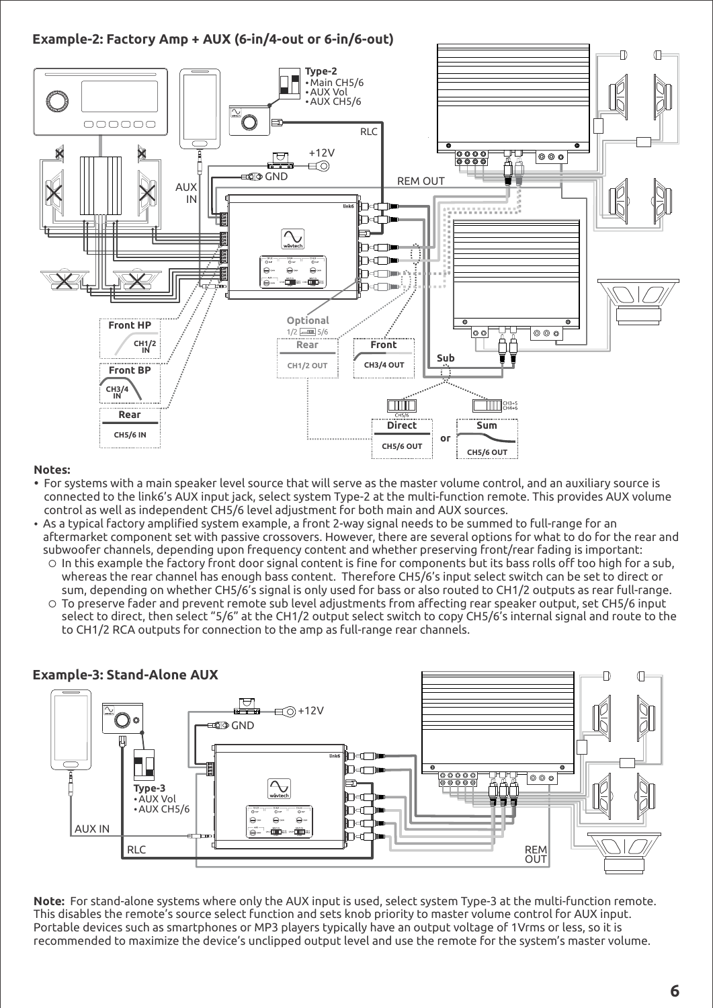**Example-2: Factory Amp + AUX (6-in/4-out or 6-in/6-out)**



#### **Notes:**

- For systems with a main speaker level source that will serve as the master volume control, and an auxiliary source is connected to the link6's AUX input jack, select system Type-2 at the multi-function remote. This provides AUX volume control as well as independent CH5/6 level adjustment for both main and AUX sources.
- As a typical factory amplified system example, a front 2-way signal needs to be summed to full-range for an aftermarket component set with passive crossovers. However, there are several options for what to do for the rear and subwoofer channels, depending upon frequency content and whether preserving front/rear fading is important:
	- $\circ$  In this example the factory front door signal content is fine for components but its bass rolls off too high for a sub, whereas the rear channel has enough bass content. Therefore CH5/6's input select switch can be set to direct or sum, depending on whether CH5/6's signal is only used for bass or also routed to CH1/2 outputs as rear full-range.
	- ¡ To preserve fader and prevent remote sub level adjustments from affecting rear speaker output, set CH5/6 input select to direct, then select "5/6" at the CH1/2 output select switch to copy CH5/6's internal signal and route to the to CH1/2 RCA outputs for connection to the amp as full-range rear channels.



**Note:** For stand-alone systems where only the AUX input is used, select system Type-3 at the multi-function remote. This disables the remote's source select function and sets knob priority to master volume control for AUX input. Portable devices such as smartphones or MP3 players typically have an output voltage of 1Vrms or less, so it is recommended to maximize the device's unclipped output level and use the remote for the system's master volume.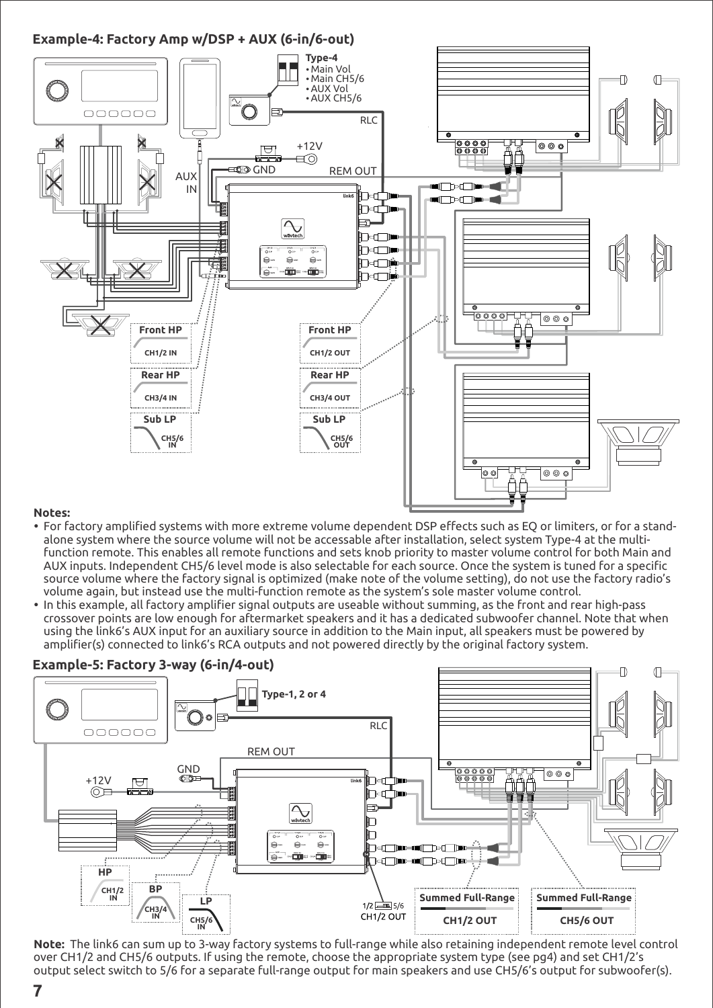

#### **Notes:**

- For factory amplified systems with more extreme volume dependent DSP effects such as EQ or limiters, or for a standalone system where the source volume will not be accessable after installation, select system Type-4 at the multifunction remote. This enables all remote functions and sets knob priority to master volume control for both Main and AUX inputs. Independent CH5/6 level mode is also selectable for each source. Once the system is tuned for a specific source volume where the factory signal is optimized (make note of the volume setting), do not use the factory radio's volume again, but instead use the multi-function remote as the system's sole master volume control.
- In this example, all factory amplifier signal outputs are useable without summing, as the front and rear high-pass crossover points are low enough for aftermarket speakers and it has a dedicated subwoofer channel. Note that when using the link6's AUX input for an auxiliary source in addition to the Main input, all speakers must be powered by amplifier(s) connected to link6's RCA outputs and not powered directly by the original factory system.



**Note:** The link6 can sum up to 3-way factory systems to full-range while also retaining independent remote level control over CH1/2 and CH5/6 outputs. If using the remote, choose the appropriate system type (see pg4) and set CH1/2's output select switch to 5/6 for a separate full-range output for main speakers and use CH5/6's output for subwoofer(s).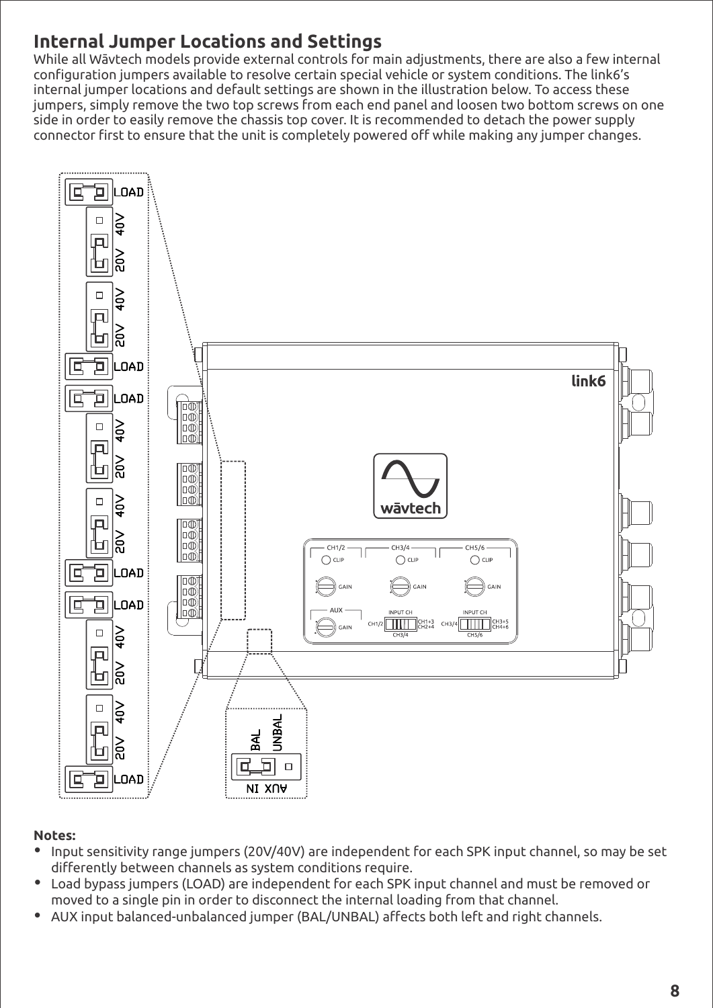## **Internal Jumper Locations and Settings**

While all Wāvtech models provide external controls for main adjustments, there are also a few internal configuration jumpers available to resolve certain special vehicle or system conditions. The link6's internal jumper locations and default settings are shown in the illustration below. To access these jumpers, simply remove the two top screws from each end panel and loosen two bottom screws on one side in order to easily remove the chassis top cover. It is recommended to detach the power supply connector first to ensure that the unit is completely powered off while making any jumper changes.



### **Notes:**

- Input sensitivity range jumpers (20V/40V) are independent for each SPK input channel, so may be set differently between channels as system conditions require.
- Load bypass jumpers (LOAD) are independent for each SPK input channel and must be removed or moved to a single pin in order to disconnect the internal loading from that channel.
- AUX input balanced-unbalanced jumper (BAL/UNBAL) affects both left and right channels.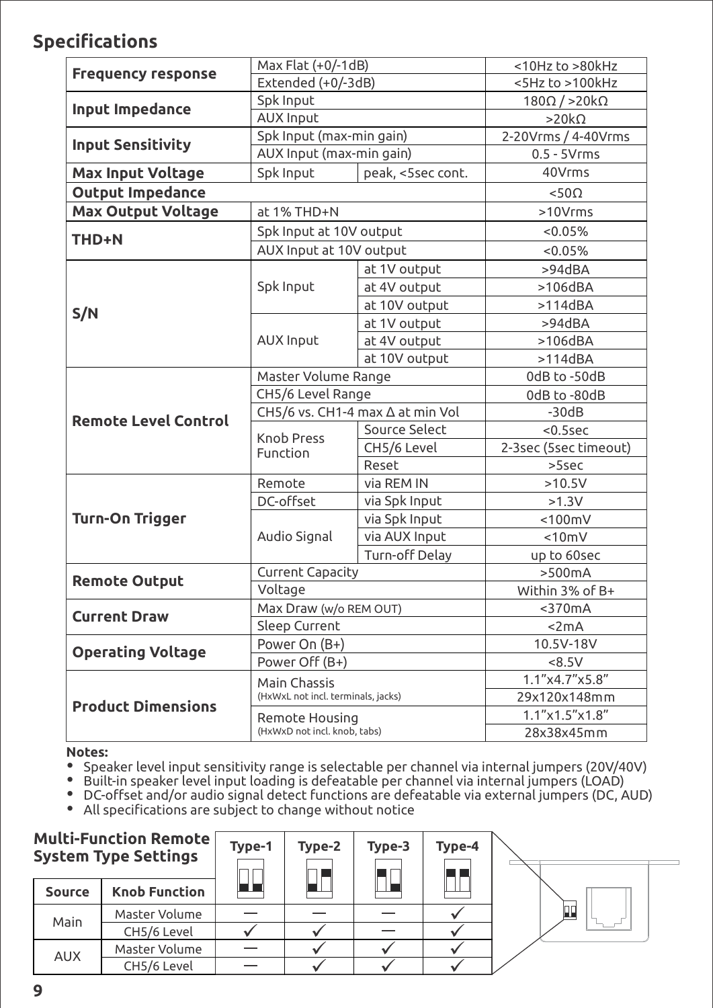## **Specifications**

| <b>Frequency response</b>   | Max Flat (+0/-1dB)                                 |                | <10Hz to >80kHz              |
|-----------------------------|----------------------------------------------------|----------------|------------------------------|
|                             | Extended (+0/-3dB)                                 |                | <5Hz to >100kHz              |
| Input Impedance             | Spk Input                                          |                | $180\Omega/$ > 20 k $\Omega$ |
|                             | <b>AUX Input</b>                                   |                | $>20k\Omega$                 |
| <b>Input Sensitivity</b>    | Spk Input (max-min gain)                           |                | 2-20Vrms / 4-40Vrms          |
|                             | AUX Input (max-min gain)                           |                | $0.5 - 5V$ rms               |
| <b>Max Input Voltage</b>    | peak, <5sec cont.<br>Spk Input                     |                | 40Vrms                       |
| <b>Output Impedance</b>     | $< 50\Omega$                                       |                |                              |
| <b>Max Output Voltage</b>   | at 1% THD+N                                        | >10Vrms        |                              |
| THD+N                       | Spk Input at 10V output                            |                | < 0.05%                      |
|                             | AUX Input at 10V output                            |                | < 0.05%                      |
|                             | Spk Input                                          | at 1V output   | >94dBA                       |
|                             |                                                    | at 4V output   | $>106$ dBA                   |
|                             |                                                    | at 10V output  | $>114$ dBA                   |
| S/N                         | <b>AUX Input</b>                                   | at 1V output   | >94dBA                       |
|                             |                                                    | at 4V output   | $>106$ dBA                   |
|                             |                                                    | at 10V output  | $>114$ dBA                   |
|                             | Master Volume Range                                |                | 0dB to -50dB                 |
|                             | CH5/6 Level Range                                  |                | 0dB to -80dB                 |
| <b>Remote Level Control</b> | CH5/6 vs. CH1-4 max ∆ at min Vol                   |                | $-30dB$                      |
|                             | <b>Knob Press</b>                                  | Source Select  | $< 0.5$ sec                  |
|                             | Function                                           | CH5/6 Level    | 2-3sec (5sec timeout)        |
|                             |                                                    | Reset          | $>5$ sec                     |
|                             | Remote                                             | via REM IN     | >10.5V                       |
| <b>Turn-On Trigger</b>      | DC-offset                                          | via Spk Input  | $>1.3V$                      |
|                             | Audio Signal                                       | via Spk Input  | $<$ 100 $mV$                 |
|                             |                                                    | via AUX Input  | < 10 mV                      |
|                             |                                                    | Turn-off Delay | up to 60sec                  |
| <b>Remote Output</b>        | <b>Current Capacity</b>                            |                | >500mA                       |
|                             | Voltage                                            |                | Within 3% of B+              |
| <b>Current Draw</b>         | Max Draw (w/o REM OUT)                             |                | $<$ 370 $mA$                 |
|                             | Sleep Current                                      |                | < 2mA                        |
| <b>Operating Voltage</b>    | Power On (B+)                                      |                | 10.5V-18V                    |
|                             | Power Off (B+)                                     |                | <8.5V                        |
|                             | Main Chassis<br>(HxWxL not incl. terminals, jacks) |                | 1.1"x4.7"x5.8"               |
| <b>Product Dimensions</b>   |                                                    |                | 29x120x148mm                 |
|                             | Remote Housing<br>(HxWxD not incl. knob, tabs)     |                | 1.1"x1.5"x1.8"               |
|                             |                                                    |                | 28x38x45mm                   |

#### **Notes:**

• Speaker level input sensitivity range is selectable per channel via internal jumpers (20V/40V)

 $\bullet$  Built-in speaker level input loading is defeatable per channel via internal jumpers (LOAD)

Ÿ DC-offset and/or audio signal detect functions are defeatable via external jumpers (DC, AUD)

• All specifications are subject to change without notice

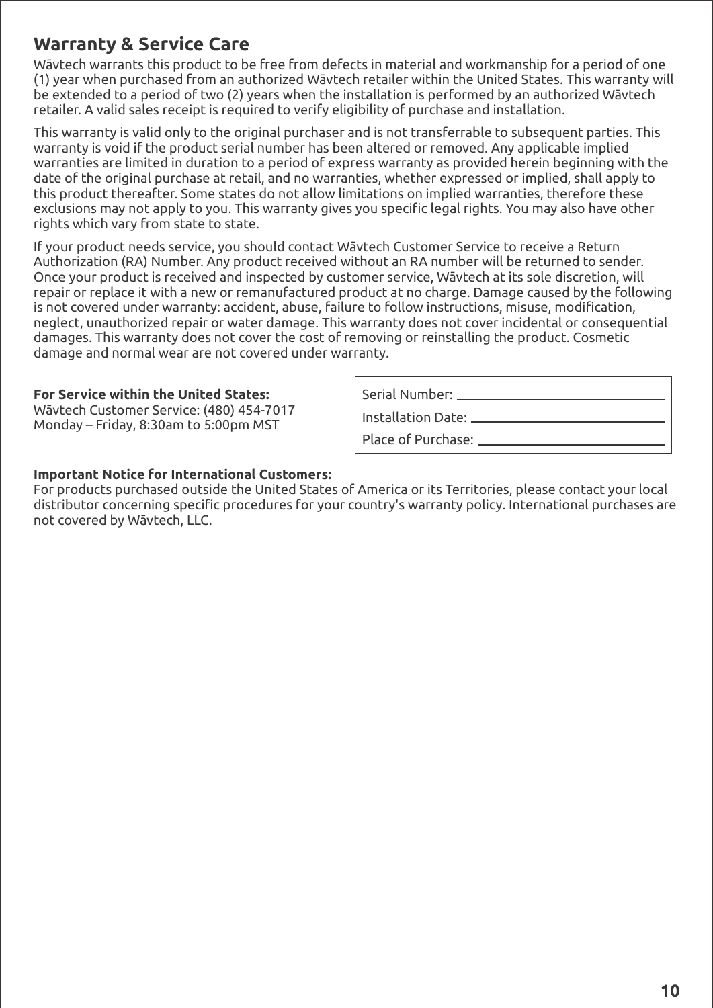## **Warranty & Service Care**

Wāvtech warrants this product to be free from defects in material and workmanship for a period of one (1) year when purchased from an authorized Wāvtech retailer within the United States. This warranty will be extended to a period of two (2) years when the installation is performed by an authorized Wāvtech retailer. A valid sales receipt is required to verify eligibility of purchase and installation.

This warranty is valid only to the original purchaser and is not transferrable to subsequent parties. This warranty is void if the product serial number has been altered or removed. Any applicable implied warranties are limited in duration to a period of express warranty as provided herein beginning with the date of the original purchase at retail, and no warranties, whether expressed or implied, shall apply to this product thereafter. Some states do not allow limitations on implied warranties, therefore these exclusions may not apply to you. This warranty gives you specific legal rights. You may also have other rights which vary from state to state.

If your product needs service, you should contact Wāvtech Customer Service to receive a Return Authorization (RA) Number. Any product received without an RA number will be returned to sender. Once your product is received and inspected by customer service, Wāvtech at its sole discretion, will repair or replace it with a new or remanufactured product at no charge. Damage caused by the following is not covered under warranty: accident, abuse, failure to follow instructions, misuse, modification, neglect, unauthorized repair or water damage. This warranty does not cover incidental or consequential damages. This warranty does not cover the cost of removing or reinstalling the product. Cosmetic damage and normal wear are not covered under warranty.

#### **For Service within the United States:**

Wāvtech Customer Service: (480) 454-7017 Monday – Friday, 8:30am to 5:00pm MST

Serial Number:

Installation Date:

Place of Purchase:

#### **Important Notice for International Customers:**

For products purchased outside the United States of America or its Territories, please contact your local distributor concerning specific procedures for your country's warranty policy. International purchases are not covered by Wāvtech, LLC.